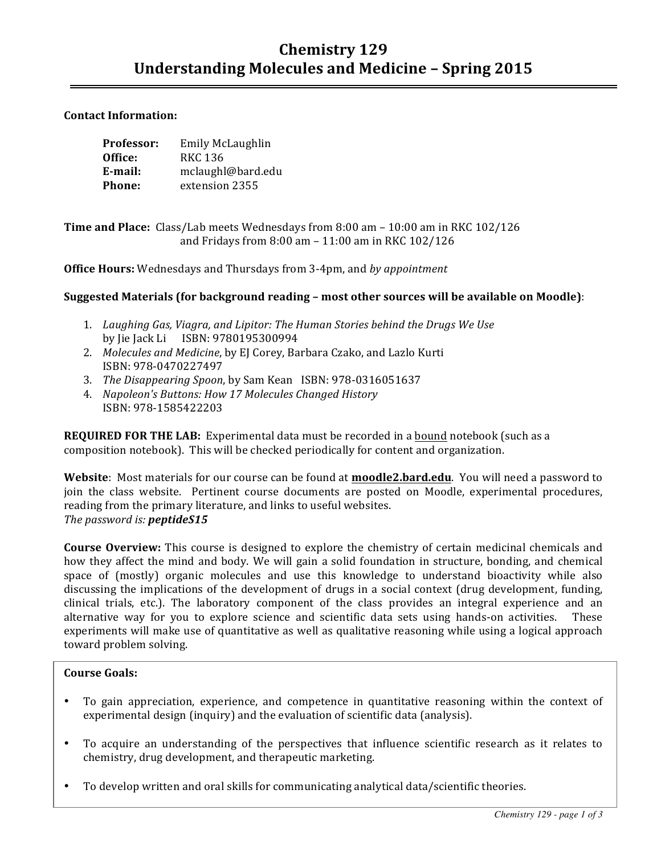# **Chemistry 129** Understanding Molecules and Medicine - Spring 2015

### **Contact Information:**

| Professor: | Emily McLaughlin  |
|------------|-------------------|
| Office:    | RKC 136           |
| E-mail:    | mclaughl@bard.edu |
| Phone:     | extension 2355    |

**Time and Place:** Class/Lab meets Wednesdays from 8:00 am – 10:00 am in RKC 102/126 and Fridays from  $8:00$  am  $- 11:00$  am in RKC  $102/126$ 

**Office Hours:** Wednesdays and Thursdays from 3-4pm, and *by appointment* 

### Suggested Materials (for background reading - most other sources will be available on Moodle):

- 1. Laughing Gas, Viagra, and Lipitor: The Human Stories behind the Drugs We Use by Jie Jack Li ISBN: 9780195300994
- 2. *Molecules and Medicine*, by EJ Corey, Barbara Czako, and Lazlo Kurti ISBN: 978-0470227497
- 3. *The Disappearing Spoon*, by Sam Kean ISBN: 978-0316051637
- 4. *Napoleon's Buttons: How 17 Molecules Changed History*  ISBN: 978-1585422203

**REQUIRED FOR THE LAB:** Experimental data must be recorded in a bound notebook (such as a composition notebook). This will be checked periodically for content and organization.

**Website:** Most materials for our course can be found at **moodle2.bard.edu**. You will need a password to join the class website. Pertinent course documents are posted on Moodle, experimental procedures, reading from the primary literature, and links to useful websites. The password is: **peptideS15** 

**Course Overview:** This course is designed to explore the chemistry of certain medicinal chemicals and how they affect the mind and body. We will gain a solid foundation in structure, bonding, and chemical space of (mostly) organic molecules and use this knowledge to understand bioactivity while also discussing the implications of the development of drugs in a social context (drug development, funding, clinical trials, etc.). The laboratory component of the class provides an integral experience and an alternative way for you to explore science and scientific data sets using hands-on activities. These experiments will make use of quantitative as well as qualitative reasoning while using a logical approach toward problem solving.

#### **Course Goals:**

- To gain appreciation, experience, and competence in quantitative reasoning within the context of experimental design (inquiry) and the evaluation of scientific data (analysis).
- To acquire an understanding of the perspectives that influence scientific research as it relates to chemistry, drug development, and therapeutic marketing.
- To develop written and oral skills for communicating analytical data/scientific theories.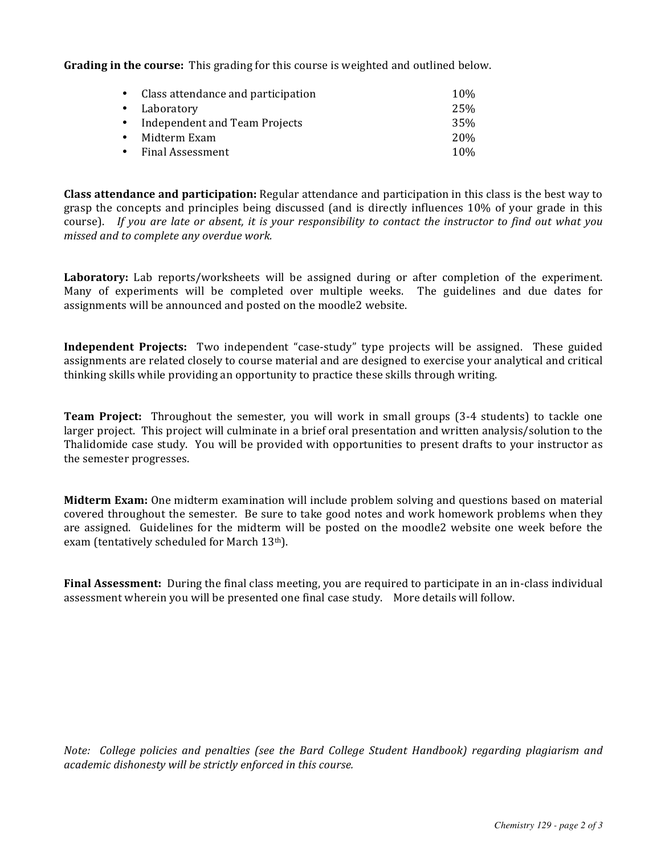**Grading in the course:** This grading for this course is weighted and outlined below.

| • Class attendance and participation | 10 <sub>%</sub> |
|--------------------------------------|-----------------|
| • Laboratory                         | 25%             |
| • Independent and Team Projects      | 35%             |
| • Midterm Exam                       | 20\%            |
| • Final Assessment                   | 10 <sub>%</sub> |

**Class attendance and participation:** Regular attendance and participation in this class is the best way to grasp the concepts and principles being discussed (and is directly influences 10% of your grade in this course). If you are late or absent, it is your responsibility to contact the instructor to find out what you *missed and to complete any overdue work.*

**Laboratory:** Lab reports/worksheets will be assigned during or after completion of the experiment. Many of experiments will be completed over multiple weeks. The guidelines and due dates for assignments will be announced and posted on the moodle2 website.

**Independent Projects:** Two independent "case-study" type projects will be assigned. These guided assignments are related closely to course material and are designed to exercise your analytical and critical thinking skills while providing an opportunity to practice these skills through writing.

**Team Project:** Throughout the semester, you will work in small groups (3-4 students) to tackle one larger project. This project will culminate in a brief oral presentation and written analysis/solution to the Thalidomide case study. You will be provided with opportunities to present drafts to your instructor as the semester progresses.

**Midterm Exam:** One midterm examination will include problem solving and questions based on material covered throughout the semester. Be sure to take good notes and work homework problems when they are assigned. Guidelines for the midterm will be posted on the moodle2 website one week before the exam (tentatively scheduled for March 13th).

**Final Assessment:** During the final class meeting, you are required to participate in an in-class individual assessment wherein you will be presented one final case study. More details will follow.

*Note: College policies and penalties (see the Bard College Student Handbook) regarding plagiarism and* academic dishonesty will be strictly enforced in this course.